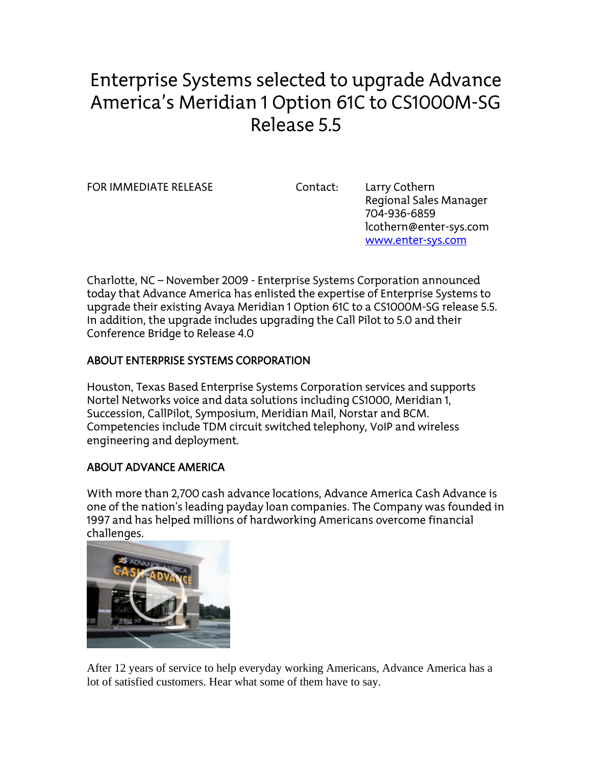# Enterprise Systems selected to upgrade Advance America's Meridian 1 Option 61C to CS1000M-SG Release 5.5

FOR IMMEDIATE RELEASE Contact: Larry Cothern

 Regional Sales Manager 704-936-6859 lcothern@enter-sys.com www.enter-sys.com

Charlotte, NC – November 2009 - Enterprise Systems Corporation announced today that Advance America has enlisted the expertise of Enterprise Systems to upgrade their existing Avaya Meridian 1 Option 61C to a CS1000M-SG release 5.5. In addition, the upgrade includes upgrading the Call Pilot to 5.0 and their Conference Bridge to Release 4.0

## ABOUT ENTERPRISE SYSTEMS CORPORATION

Houston, Texas Based Enterprise Systems Corporation services and supports Nortel Networks voice and data solutions including CS1000, Meridian 1, Succession, CallPilot, Symposium, Meridian Mail, Norstar and BCM. Competencies include TDM circuit switched telephony, VoIP and wireless engineering and deployment.

## ABOUT ADVANCE AMERICA

With more than 2,700 cash advance locations, Advance America Cash Advance is one of the nation's leading payday loan companies. The Company was founded in 1997 and has helped millions of hardworking Americans overcome financial challenges.



After 12 years of service to help everyday working Americans, Advance America has a lot of satisfied customers. Hear what some of them have to say.